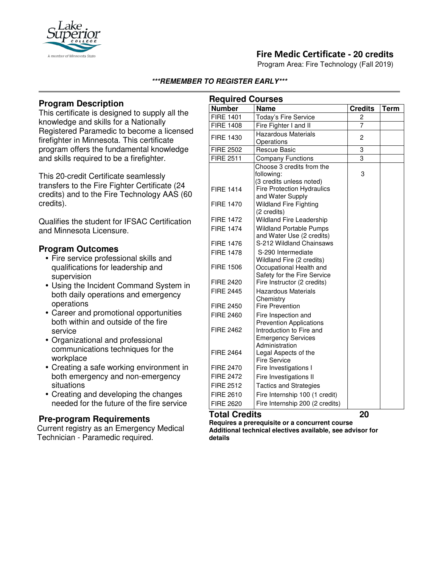

# **Fire Medic Certificate - 20 credits**

Program Area: Fire Technology (Fall 2019)

#### **\*\*\*REMEMBER TO REGISTER EARLY\*\*\***

## **Program Description**

This certificate is designed to supply all the knowledge and skills for a Nationally Registered Paramedic to become a licensed firefighter in Minnesota. This certificate program offers the fundamental knowledge and skills required to be a firefighter.

This 20-credit Certificate seamlessly transfers to the Fire Fighter Certificate (24 credits) and to the Fire Technology AAS (60 credits).

Qualifies the student for IFSAC Certification and Minnesota Licensure.

#### **Program Outcomes**

- Fire service professional skills and qualifications for leadership and supervision
- Using the Incident Command System in both daily operations and emergency operations
- Career and promotional opportunities both within and outside of the fire service
- Organizational and professional communications techniques for the workplace
- Creating a safe working environment in both emergency and non-emergency situations
- Creating and developing the changes needed for the future of the fire service

### **Pre-program Requirements**

Current registry as an Emergency Medical Technician - Paramedic required.

| <b>Required Courses</b> |                                                            |                |             |
|-------------------------|------------------------------------------------------------|----------------|-------------|
| <b>Number</b>           | <b>Name</b>                                                | <b>Credits</b> | <b>Term</b> |
| <b>FIRE 1401</b>        | Today's Fire Service                                       | 2              |             |
| <b>FIRE 1408</b>        | Fire Fighter I and II                                      | $\overline{7}$ |             |
| FIRE 1430               | <b>Hazardous Materials</b>                                 | 2              |             |
|                         | Operations                                                 |                |             |
| <b>FIRE 2502</b>        | <b>Rescue Basic</b>                                        | 3              |             |
| <b>FIRE 2511</b>        | <b>Company Functions</b>                                   | 3              |             |
|                         | Choose 3 credits from the                                  |                |             |
|                         | following:                                                 | 3              |             |
|                         | (3 credits unless noted)                                   |                |             |
| <b>FIRE 1414</b>        | <b>Fire Protection Hydraulics</b>                          |                |             |
|                         | and Water Supply                                           |                |             |
| <b>FIRE 1470</b>        | <b>Wildland Fire Fighting</b>                              |                |             |
|                         | (2 credits)                                                |                |             |
| <b>FIRE 1472</b>        | Wildland Fire Leadership                                   |                |             |
| <b>FIRE 1474</b>        | <b>Wildland Portable Pumps</b>                             |                |             |
|                         | and Water Use (2 credits)                                  |                |             |
| <b>FIRE 1476</b>        | S-212 Wildland Chainsaws                                   |                |             |
| <b>FIRE 1478</b>        | S-290 Intermediate                                         |                |             |
|                         | Wildland Fire (2 credits)                                  |                |             |
| <b>FIRE 1506</b>        | Occupational Health and                                    |                |             |
| <b>FIRE 2420</b>        | Safety for the Fire Service<br>Fire Instructor (2 credits) |                |             |
| <b>FIRE 2445</b>        |                                                            |                |             |
|                         | <b>Hazardous Materials</b><br>Chemistry                    |                |             |
| <b>FIRE 2450</b>        | <b>Fire Prevention</b>                                     |                |             |
| <b>FIRE 2460</b>        | Fire Inspection and                                        |                |             |
|                         | <b>Prevention Applications</b>                             |                |             |
| <b>FIRE 2462</b>        | Introduction to Fire and                                   |                |             |
|                         | <b>Emergency Services</b>                                  |                |             |
|                         | Administration                                             |                |             |
| <b>FIRE 2464</b>        | Legal Aspects of the                                       |                |             |
|                         | <b>Fire Service</b>                                        |                |             |
| <b>FIRE 2470</b>        | Fire Investigations I                                      |                |             |
| <b>FIRE 2472</b>        | Fire Investigations II                                     |                |             |
| <b>FIRE 2512</b>        | <b>Tactics and Strategies</b>                              |                |             |
| <b>FIRE 2610</b>        | Fire Internship 100 (1 credit)                             |                |             |
| <b>FIRE 2620</b>        | Fire Internship 200 (2 credits)                            |                |             |

### **Total Credits 20**

**Requires a prerequisite or a concurrent course Additional technical electives available, see advisor for details**